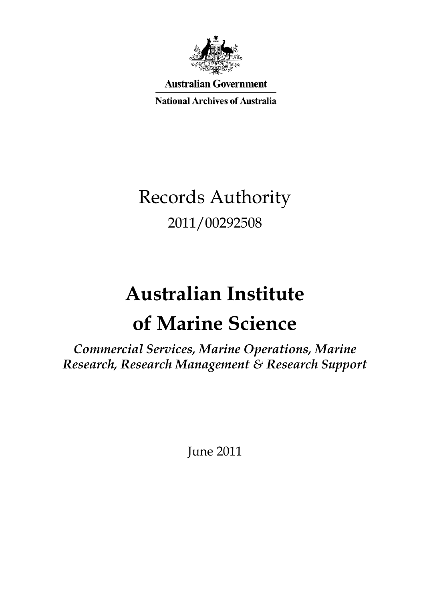

**Australian Government** 

**National Archives of Australia** 

# Records Authority 2011/00292508

# **Australian Institute of Marine Science**

*Commercial Services, Marine Operations, Marine Research, Research Management & Research Support*

June 2011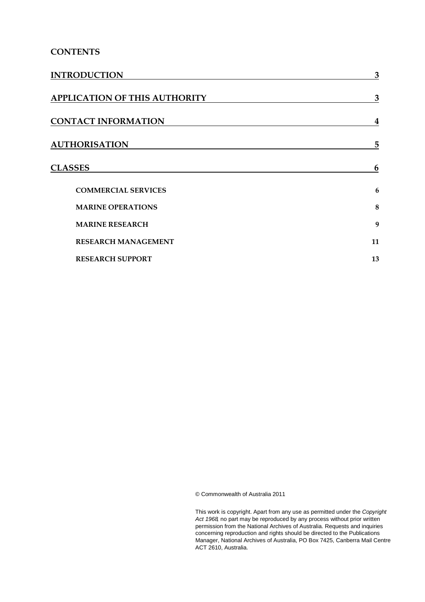### **CONTENTS**

| <b>INTRODUCTION</b>                  | 3                       |
|--------------------------------------|-------------------------|
| <b>APPLICATION OF THIS AUTHORITY</b> | 3                       |
| <b>CONTACT INFORMATION</b>           | $\overline{\mathbf{4}}$ |
| <b>AUTHORISATION</b>                 | 5                       |
| <b>CLASSES</b>                       | 6                       |
| <b>COMMERCIAL SERVICES</b>           | 6                       |
| <b>MARINE OPERATIONS</b>             | 8                       |
| <b>MARINE RESEARCH</b>               | 9                       |
| <b>RESEARCH MANAGEMENT</b>           | 11                      |
| <b>RESEARCH SUPPORT</b>              | 13                      |

© Commonwealth of Australia 2011

 This work is copyright. Apart from any use as permitted under the *Copyright*  permission from the National Archives of Australia. Requests and inquiries Manager, National Archives of Australia, PO Box 7425, Canberra Mail Centre *Act 1968,* no part may be reproduced by any process without prior written concerning reproduction and rights should be directed to the Publications ACT 2610, Australia.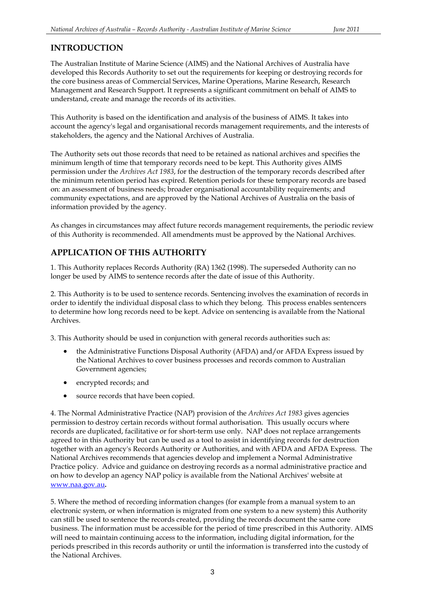### **INTRODUCTION**

The Australian Institute of Marine Science (AIMS) and the National Archives of Australia have developed this Records Authority to set out the requirements for keeping or destroying records for the core business areas of Commercial Services, Marine Operations, Marine Research, Research Management and Research Support. It represents a significant commitment on behalf of AIMS to understand, create and manage the records of its activities.

This Authority is based on the identification and analysis of the business of AIMS. It takes into account the agency's legal and organisational records management requirements, and the interests of stakeholders, the agency and the National Archives of Australia.

 minimum length of time that temporary records need to be kept. This Authority gives AIMS information provided by the agency. The Authority sets out those records that need to be retained as national archives and specifies the permission under the *Archives Act 1983*, for the destruction of the temporary records described after the minimum retention period has expired. Retention periods for these temporary records are based on: an assessment of business needs; broader organisational accountability requirements; and community expectations, and are approved by the National Archives of Australia on the basis of

As changes in circumstances may affect future records management requirements, the periodic review of this Authority is recommended. All amendments must be approved by the National Archives.

### **APPLICATION OF THIS AUTHORITY**

 1. This Authority replaces Records Authority (RA) 1362 (1998). The superseded Authority can no longer be used by AIMS to sentence records after the date of issue of this Authority.

2. This Authority is to be used to sentence records. Sentencing involves the examination of records in order to identify the individual disposal class to which they belong. This process enables sentencers to determine how long records need to be kept. Advice on sentencing is available from the National Archives.

3. This Authority should be used in conjunction with general records authorities such as:

- Government agencies; • the Administrative Functions Disposal Authority (AFDA) and/or AFDA Express issued by the National Archives to cover business processes and records common to Australian
- • encrypted records; and
- • source records that have been copied.

 permission to destroy certain records without formal authorisation. This usually occurs where records are duplicated, facilitative or for short-term use only. NAP does not replace arrangements together with an agency's Records Authority or Authorities, and with AFDA and AFDA Express. The Practice policy. Advice and guidance on destroying records as a normal administrative practice and 4. The Normal Administrative Practice (NAP) provision of the *Archives Act 1983* gives agencies agreed to in this Authority but can be used as a tool to assist in identifying records for destruction National Archives recommends that agencies develop and implement a Normal Administrative on how to develop an agency NAP policy is available from the National Archives' website at [www.naa.gov.au](http://www.naa.gov.au/)**.** 

 periods prescribed in this records authority or until the information is transferred into the custody of 5. Where the method of recording information changes (for example from a manual system to an electronic system, or when information is migrated from one system to a new system) this Authority can still be used to sentence the records created, providing the records document the same core business. The information must be accessible for the period of time prescribed in this Authority. AIMS will need to maintain continuing access to the information, including digital information, for the the National Archives.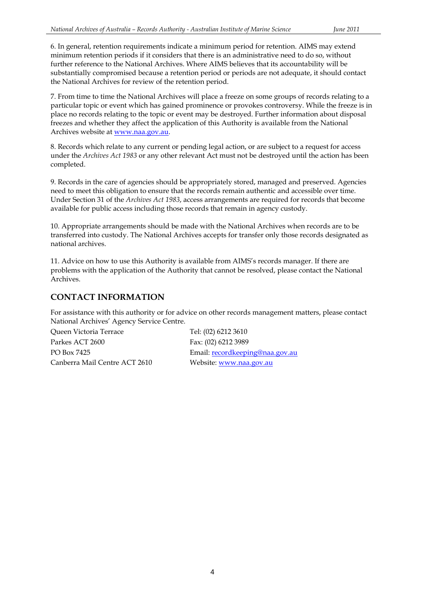6. In general, retention requirements indicate a minimum period for retention. AIMS may extend minimum retention periods if it considers that there is an administrative need to do so, without further reference to the National Archives. Where AIMS believes that its accountability will be substantially compromised because a retention period or periods are not adequate, it should contact the National Archives for review of the retention period.

 7. From time to time the National Archives will place a freeze on some groups of records relating to a place no records relating to the topic or event may be destroyed. Further information about disposal particular topic or event which has gained prominence or provokes controversy. While the freeze is in freezes and whether they affect the application of this Authority is available from the National Archives website at [www.naa.gov.au.](http://www.naa.gov.au/)

 8. Records which relate to any current or pending legal action, or are subject to a request for access under the *Archives Act 1983* or any other relevant Act must not be destroyed until the action has been completed.

9. Records in the care of agencies should be appropriately stored, managed and preserved. Agencies need to meet this obligation to ensure that the records remain authentic and accessible over time. Under Section 31 of the *Archives Act 1983*, access arrangements are required for records that become available for public access including those records that remain in agency custody.

10. Appropriate arrangements should be made with the National Archives when records are to be transferred into custody. The National Archives accepts for transfer only those records designated as national archives.

11. Advice on how to use this Authority is available from AIMS's records manager. If there are problems with the application of the Authority that cannot be resolved, please contact the National Archives.

### **CONTACT INFORMATION**

For assistance with this authority or for advice on other records management matters, please contact National Archives' Agency Service Centre.

Queen Victoria Terrace Tel: (02) 6212 3610 Parkes ACT 2600 Fax: (02) 6212 3989 PO Box 7425 Email: recordkeeping@naa<br>Canberra Mail Centre ACT 2610 Website: www.naa.gov.au

Email: recordkeeping@naa.gov.au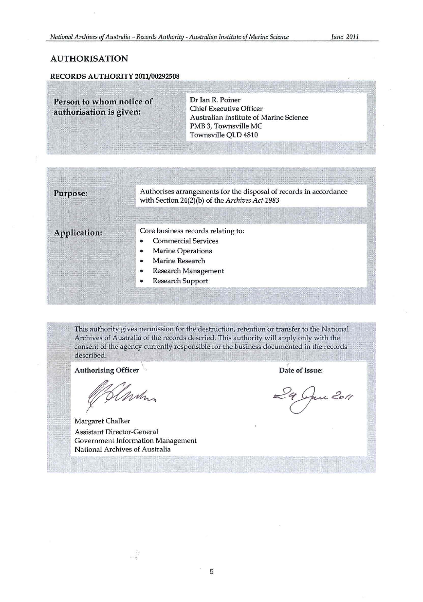### AUTHORISATION

#### RECORDS AUTHORITY 2011/00292508

| Person to whom notice of<br>authorisation is given: |   | Dr Ian R. Poiner<br><b>Chief Executive Officer</b><br>Australian Institute of Marine Science<br>PMB 3, Townsville MC<br>Townsville QLD 4810 |
|-----------------------------------------------------|---|---------------------------------------------------------------------------------------------------------------------------------------------|
|                                                     |   |                                                                                                                                             |
| Purpose:                                            |   | Authorises arrangements for the disposal of records in accordance<br>with Section 24(2)(b) of the Archives Act 1983                         |
| Application:                                        | ۰ | Core business records relating to:<br><b>Commercial Services</b><br><b>Marine Operations</b><br>Marine Research                             |
|                                                     |   | <b>Research Management</b>                                                                                                                  |

• Research Support

This authority gives permission for the destruction, retention or transfer to the National Archives of Australia of the records descried. This authority will apply only with the consent of the agency currently responsible for the business documented in the records described. *r in the contract of the contract of the contract of the contract of the contract of the contract of the contract of the contract of the contract of the contract of the contract of the contract of the contract* 

Authorising Officer  $\sqrt{ }$  and  $\sqrt{ }$  Date of issue:

*El min* 

Margaret Chalker Assistant Director-General Government Information Management National Archives of Australia

 $\frac{1}{2}$ 

June 2011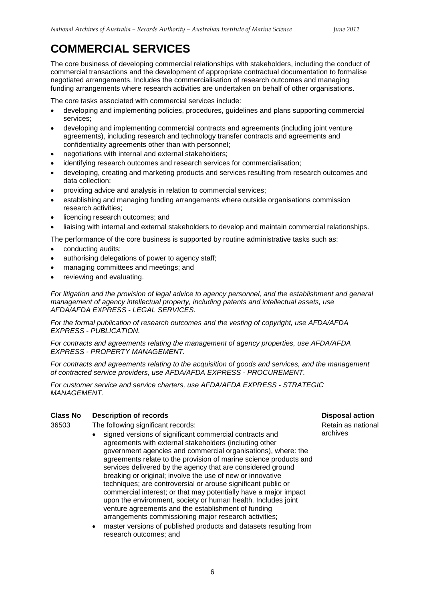### <span id="page-5-0"></span>**COMMERCIAL SERVICES**

funding arrangements where research activities are undertaken on behalf of other organisations.<br>The core tasks associated with commercial services include: The core business of developing commercial relationships with stakeholders, including the conduct of commercial transactions and the development of appropriate contractual documentation to formalise negotiated arrangements. Includes the commercialisation of research outcomes and managing

The core tasks associated with commercial services include:

- developing and implementing policies, procedures, guidelines and plans supporting commercial services;
- developing and implementing commercial contracts and agreements (including joint venture agreements), including research and technology transfer contracts and agreements and confidentiality agreements other than with personnel;
- negotiations with internal and external stakeholders;
- identifying research outcomes and research services for commercialisation;
- developing, creating and marketing products and services resulting from research outcomes and data collection;
- providing advice and analysis in relation to commercial services;
- establishing and managing funding arrangements where outside organisations commission research activities;
- licencing research outcomes; and
- liaising with internal and external stakeholders to develop and maintain commercial relationships.

The performance of the core business is supported by routine administrative tasks such as:

- conducting audits:
- authorising delegations of power to agency staff;
- • managing committees and meetings; and
- reviewing and evaluating.

 *For litigation and the provision of legal advice to agency personnel, and the establishment and general AFDA/AFDA EXPRESS - LEGAL SERVICES. management of agency intellectual property, including patents and intellectual assets, use* 

 *EXPRESS - PUBLICATION. For the formal publication of research outcomes and the vesting of copyright, use AFDA/AFDA* 

 *EXPRESS - PROPERTY MANAGEMENT. For contracts and agreements relating the management of agency properties, use AFDA/AFDA* 

 *of contracted service providers, use AFDA/AFDA EXPRESS - PROCUREMENT. For contracts and agreements relating to the acquisition of goods and services, and the management* 

 *For customer service and service charters, use AFDA/AFDA EXPRESS - STRATEGIC MANAGEMENT.* 

#### **Class No Description of records Disposal action**

36503 The following significant records:

- signed versions of significant commercial contracts and **archives**  government agencies and commercial organisations), where: the agreements with external stakeholders (including other agreements relate to the provision of marine science products and services delivered by the agency that are considered ground breaking or original; involve the use of new or innovative techniques; are controversial or arouse significant public or commercial interest; or that may potentially have a major impact upon the environment, society or human health. Includes joint venture agreements and the establishment of funding arrangements commissioning major research activities;
- research outcomes; and master versions of published products and datasets resulting from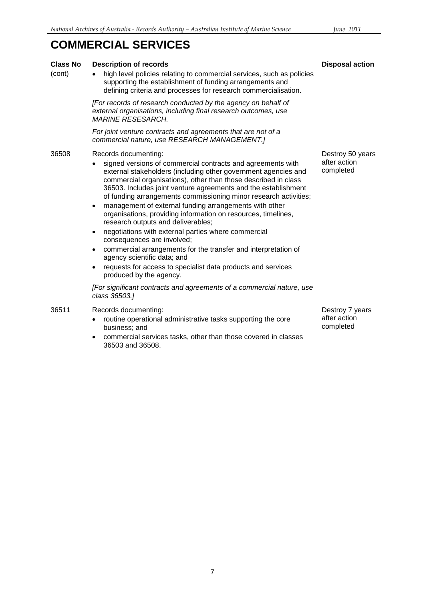## **COMMERCIAL SERVICES**

| <b>Class No</b><br>(cont) | <b>Description of records</b><br>high level policies relating to commercial services, such as policies<br>supporting the establishment of funding arrangements and<br>defining criteria and processes for research commercialisation.                                                                                                                                                                                                                                                                                                                                                                                                                                                                                                                                                                                                                                                                                               | <b>Disposal</b>                      |
|---------------------------|-------------------------------------------------------------------------------------------------------------------------------------------------------------------------------------------------------------------------------------------------------------------------------------------------------------------------------------------------------------------------------------------------------------------------------------------------------------------------------------------------------------------------------------------------------------------------------------------------------------------------------------------------------------------------------------------------------------------------------------------------------------------------------------------------------------------------------------------------------------------------------------------------------------------------------------|--------------------------------------|
|                           | [For records of research conducted by the agency on behalf of<br>external organisations, including final research outcomes, use<br><b>MARINE RESESARCH.</b>                                                                                                                                                                                                                                                                                                                                                                                                                                                                                                                                                                                                                                                                                                                                                                         |                                      |
|                           | For joint venture contracts and agreements that are not of a<br>commercial nature, use RESEARCH MANAGEMENT.]                                                                                                                                                                                                                                                                                                                                                                                                                                                                                                                                                                                                                                                                                                                                                                                                                        |                                      |
| 36508                     | Records documenting:<br>signed versions of commercial contracts and agreements with<br>external stakeholders (including other government agencies and<br>commercial organisations), other than those described in class<br>36503. Includes joint venture agreements and the establishment<br>of funding arrangements commissioning minor research activities;<br>management of external funding arrangements with other<br>$\bullet$<br>organisations, providing information on resources, timelines,<br>research outputs and deliverables;<br>negotiations with external parties where commercial<br>consequences are involved;<br>commercial arrangements for the transfer and interpretation of<br>$\bullet$<br>agency scientific data; and<br>requests for access to specialist data products and services<br>produced by the agency.<br>[For significant contracts and agreements of a commercial nature, use<br>class 36503.] | Destroy 5<br>after actio<br>complete |
| 36511                     | Records documenting:<br>routine operational administrative tasks supporting the core<br>business; and                                                                                                                                                                                                                                                                                                                                                                                                                                                                                                                                                                                                                                                                                                                                                                                                                               | Destroy 7<br>after actio<br>complete |

• commercial services tasks, other than those covered in classes 36503 and 36508.

50 years on d.

7 years  $\overline{on}$ b.

action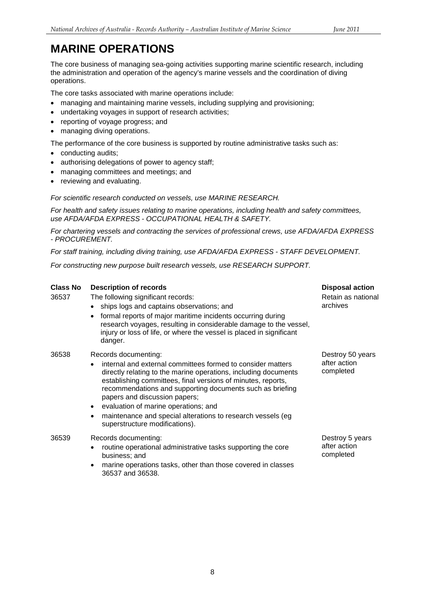## <span id="page-7-0"></span> **MARINE OPERATIONS**

operations. The core business of managing sea-going activities supporting marine scientific research, including the administration and operation of the agency's marine vessels and the coordination of diving

The core tasks associated with marine operations include:

- managing and maintaining marine vessels, including supplying and provisioning:
- undertaking voyages in support of research activities;
- reporting of voyage progress; and
- managing diving operations.

The performance of the core business is supported by routine administrative tasks such as:

- conducting audits;
- authorising delegations of power to agency staff;
- managing committees and meetings; and
- reviewing and evaluating.

*For scientific research conducted on vessels, use MARINE RESEARCH.* 

 *use AFDA/AFDA EXPRESS - OCCUPATIONAL HEALTH & SAFETY. For health and safety issues relating to marine operations, including health and safety committees,* 

*For chartering vessels and contracting the services of professional crews, use AFDA/AFDA EXPRESS - PROCUREMENT.* 

 *For staff training, including diving training, use AFDA/AFDA EXPRESS - STAFF DEVELOPMENT.* 

*For constructing new purpose built research vessels, use RESEARCH SUPPORT.* 

| <b>Class No</b><br>36537 | <b>Description of records</b><br>The following significant records:<br>• ships logs and captains observations; and<br>formal reports of major maritime incidents occurring during<br>$\bullet$<br>research voyages, resulting in considerable damage to the vessel,<br>injury or loss of life, or where the vessel is placed in significant<br>danger.                                                                                                                                                | <b>Disposal action</b><br>Retain as national<br>archives |
|--------------------------|-------------------------------------------------------------------------------------------------------------------------------------------------------------------------------------------------------------------------------------------------------------------------------------------------------------------------------------------------------------------------------------------------------------------------------------------------------------------------------------------------------|----------------------------------------------------------|
| 36538                    | Records documenting:<br>internal and external committees formed to consider matters<br>$\bullet$<br>directly relating to the marine operations, including documents<br>establishing committees, final versions of minutes, reports,<br>recommendations and supporting documents such as briefing<br>papers and discussion papers;<br>evaluation of marine operations; and<br>$\bullet$<br>maintenance and special alterations to research vessels (eg)<br>$\bullet$<br>superstructure modifications). | Destroy 50 years<br>after action<br>completed            |
| 36539                    | Records documenting:<br>routine operational administrative tasks supporting the core<br>٠<br>business; and<br>marine operations tasks, other than those covered in classes<br>$\bullet$<br>36537 and 36538                                                                                                                                                                                                                                                                                            | Destroy 5 years<br>after action<br>completed             |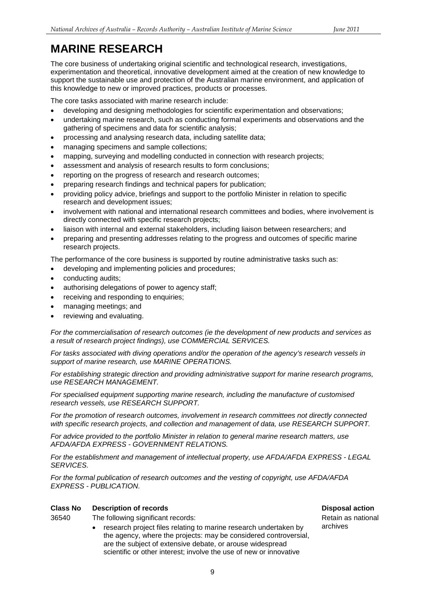## **MARINE RESEARCH**

The core business of undertaking original scientific and technological research, investigations, experimentation and theoretical, innovative development aimed at the creation of new knowledge to support the sustainable use and protection of the Australian marine environment, and application of

this knowledge to new or improved practices, products or processes.<br>The core tasks associated with marine research include:

- developing and designing methodologies for scientific experimentation and observations;
- undertaking marine research, such as conducting formal experiments and observations and the gathering of specimens and data for scientific analysis;
- processing and analysing research data, including satellite data;
- managing specimens and sample collections;
- mapping, surveying and modelling conducted in connection with research projects;
- assessment and analysis of research results to form conclusions;
- reporting on the progress of research and research outcomes;
- preparing research findings and technical papers for publication;
- providing policy advice, briefings and support to the portfolio Minister in relation to specific research and development issues;
- involvement with national and international research committees and bodies, where involvement is directly connected with specific research projects;
- liaison with internal and external stakeholders, including liaison between researchers; and
- preparing and presenting addresses relating to the progress and outcomes of specific marine research projects.

The performance of the core business is supported by routine administrative tasks such as:

- developing and implementing policies and procedures;
- conducting audits;
- authorising delegations of power to agency staff;
- receiving and responding to enquiries;
- managing meetings; and
- reviewing and evaluating.

*For the commercialisation of research outcomes (ie the development of new products and services as a result of research project findings), use COMMERCIAL SERVICES.* 

*For tasks associated with diving operations and/or the operation of the agency's research vessels in support of marine research, use MARINE OPERATIONS.* 

*For establishing strategic direction and providing administrative support for marine research programs, use RESEARCH MANAGEMENT.* 

*For specialised equipment supporting marine research, including the manufacture of customised research vessels, use RESEARCH SUPPORT.* 

*For the promotion of research outcomes, involvement in research committees not directly connected with specific research projects, and collection and management of data, use RESEARCH SUPPORT.* 

 *AFDA/AFDA EXPRESS - GOVERNMENT RELATIONS. For advice provided to the portfolio Minister in relation to general marine research matters, use* 

 *For the establishment and management of intellectual property, use AFDA/AFDA EXPRESS - LEGAL SERVICES.* 

 *EXPRESS - PUBLICATION. For the formal publication of research outcomes and the vesting of copyright, use AFDA/AFDA* 

#### **Class No Description of records Disposal action**

36540 The following significant records:

 are the subject of extensive debate, or arouse widespread • research project files relating to marine research undertaken by archives the agency, where the projects: may be considered controversial, scientific or other interest; involve the use of new or innovative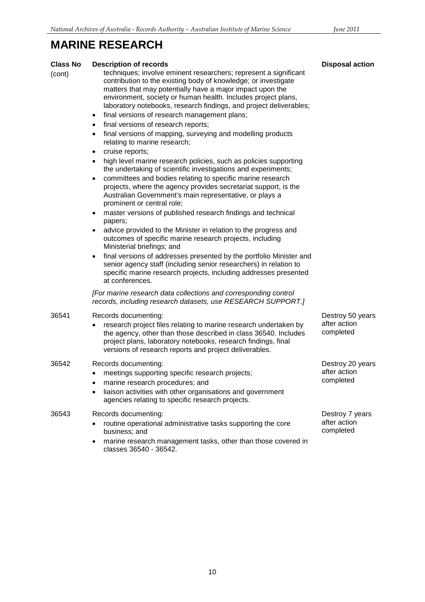### **MARINE RESEARCH**

| <b>Class No</b><br>(cont) | <b>Description of records</b><br>techniques; involve eminent researchers; represent a significant<br>contribution to the existing body of knowledge; or investigate<br>matters that may potentially have a major impact upon the<br>environment, society or human health. Includes project plans,<br>laboratory notebooks, research findings, and project deliverables;<br>final versions of research management plans;<br>$\bullet$<br>final versions of research reports;<br>$\bullet$                                        | <b>Disposal action</b>                        |
|---------------------------|---------------------------------------------------------------------------------------------------------------------------------------------------------------------------------------------------------------------------------------------------------------------------------------------------------------------------------------------------------------------------------------------------------------------------------------------------------------------------------------------------------------------------------|-----------------------------------------------|
|                           | final versions of mapping, surveying and modelling products<br>$\bullet$<br>relating to marine research;<br>cruise reports;<br>high level marine research policies, such as policies supporting<br>$\bullet$<br>the undertaking of scientific investigations and experiments;<br>committees and bodies relating to specific marine research<br>projects, where the agency provides secretariat support, is the<br>Australian Government's main representative, or plays a                                                       |                                               |
|                           | prominent or central role;<br>master versions of published research findings and technical<br>$\bullet$<br>papers;<br>advice provided to the Minister in relation to the progress and<br>outcomes of specific marine research projects, including<br>Ministerial briefings; and<br>final versions of addresses presented by the portfolio Minister and<br>$\bullet$<br>senior agency staff (including senior researchers) in relation to<br>specific marine research projects, including addresses presented<br>at conferences. |                                               |
|                           | [For marine research data collections and corresponding control<br>records, including research datasets, use RESEARCH SUPPORT.]                                                                                                                                                                                                                                                                                                                                                                                                 |                                               |
| 36541                     | Records documenting:<br>research project files relating to marine research undertaken by<br>the agency, other than those described in class 36540. Includes<br>project plans, laboratory notebooks, research findings, final<br>versions of research reports and project deliverables.                                                                                                                                                                                                                                          | Destroy 50 years<br>after action<br>completed |
| 36542                     | Records documenting:<br>meetings supporting specific research projects;<br>٠<br>marine research procedures; and<br>liaison activities with other organisations and government<br>agencies relating to specific research projects.                                                                                                                                                                                                                                                                                               | Destroy 20 years<br>after action<br>completed |
| 36543                     | Records documenting:<br>routine operational administrative tasks supporting the core<br>business; and<br>marine research management tasks, other than those covered in<br>classes 36540 - 36542.                                                                                                                                                                                                                                                                                                                                | Destroy 7 years<br>after action<br>completed  |

### **posal action**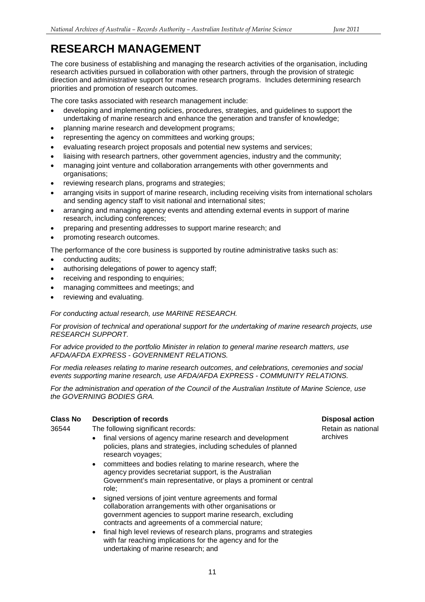### **RESEARCH MANAGEMENT**

 direction and administrative support for marine research programs. Includes determining research priorities and promotion of research outcomes. The core business of establishing and managing the research activities of the organisation, including research activities pursued in collaboration with other partners, through the provision of strategic

The core tasks associated with research management include:

- developing and implementing policies, procedures, strategies, and guidelines to support the undertaking of marine research and enhance the generation and transfer of knowledge;
- planning marine research and development programs;
- representing the agency on committees and working groups;
- evaluating research project proposals and potential new systems and services;
- liaising with research partners, other government agencies, industry and the community;
- managing joint venture and collaboration arrangements with other governments and organisations;
- reviewing research plans, programs and strategies;
- arranging visits in support of marine research, including receiving visits from international scholars and sending agency staff to visit national and international sites;
- • arranging and managing agency events and attending external events in support of marine research, including conferences;
- preparing and presenting addresses to support marine research; and
- promoting research outcomes.
- The performance of the core business is supported by routine administrative tasks such as:
- conducting audits;
- authorising delegations of power to agency staff;
- receiving and responding to enquiries;
- managing committees and meetings; and
- reviewing and evaluating.

#### *For conducting actual research, use MARINE RESEARCH.*

*For provision of technical and operational support for the undertaking of marine research projects, use RESEARCH SUPPORT.* 

 *AFDA/AFDA EXPRESS - GOVERNMENT RELATIONS. For advice provided to the portfolio Minister in relation to general marine research matters, use* 

 *events supporting marine research, use AFDA/AFDA EXPRESS - COMMUNITY RELATIONS. For media releases relating to marine research outcomes, and celebrations, ceremonies and social* 

*For the administration and operation of the Council of the Australian Institute of Marine Science, use the GOVERNING BODIES GRA.* 

#### **Class No Description of records Disposal action**

36544 The following significant records:

- final versions of agency marine research and development archives policies, plans and strategies, including schedules of planned research voyages;
- • committees and bodies relating to marine research, where the Government's main representative, or plays a prominent or central agency provides secretariat support, is the Australian role;
- • signed versions of joint venture agreements and formal contracts and agreements of a commercial nature; collaboration arrangements with other organisations or government agencies to support marine research, excluding
- final high level reviews of research plans, programs and strategies with far reaching implications for the agency and for the undertaking of marine research; and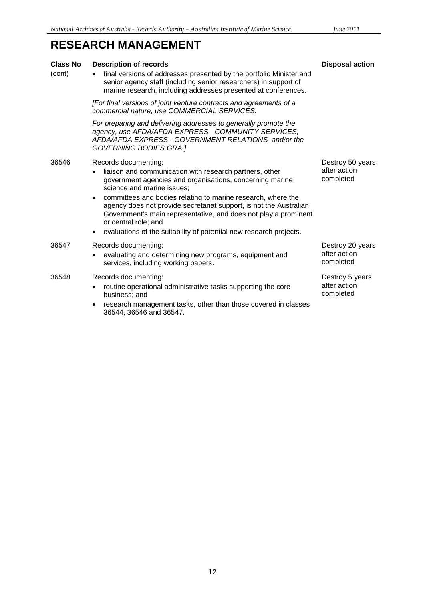36544, 36546 and 36547.

| <b>RESEARCH MANAGEMENT</b> |                                                                                                                                                                                                                                                                                                                  |                                               |
|----------------------------|------------------------------------------------------------------------------------------------------------------------------------------------------------------------------------------------------------------------------------------------------------------------------------------------------------------|-----------------------------------------------|
| <b>Class No</b><br>(cont)  | <b>Description of records</b><br>final versions of addresses presented by the portfolio Minister and<br>senior agency staff (including senior researchers) in support of<br>marine research, including addresses presented at conferences.                                                                       | <b>Disposal action</b>                        |
|                            | [For final versions of joint venture contracts and agreements of a<br>commercial nature, use COMMERCIAL SERVICES.                                                                                                                                                                                                |                                               |
|                            | For preparing and delivering addresses to generally promote the<br>agency, use AFDA/AFDA EXPRESS - COMMUNITY SERVICES,<br>AFDA/AFDA EXPRESS - GOVERNMENT RELATIONS and/or the<br><b>GOVERNING BODIES GRA.]</b>                                                                                                   |                                               |
| 36546                      | Records documenting:<br>liaison and communication with research partners, other<br>government agencies and organisations, concerning marine<br>science and marine issues;                                                                                                                                        | Destroy 50 years<br>after action<br>completed |
|                            | committees and bodies relating to marine research, where the<br>$\bullet$<br>agency does not provide secretariat support, is not the Australian<br>Government's main representative, and does not play a prominent<br>or central role; and<br>evaluations of the suitability of potential new research projects. |                                               |
| 36547                      | Records documenting:<br>evaluating and determining new programs, equipment and<br>services, including working papers.                                                                                                                                                                                            | Destroy 20 years<br>after action<br>completed |
| 36548                      | Records documenting:<br>routine operational administrative tasks supporting the core<br>business; and<br>research management tasks, other than those covered in classes                                                                                                                                          | Destroy 5 years<br>after action<br>completed  |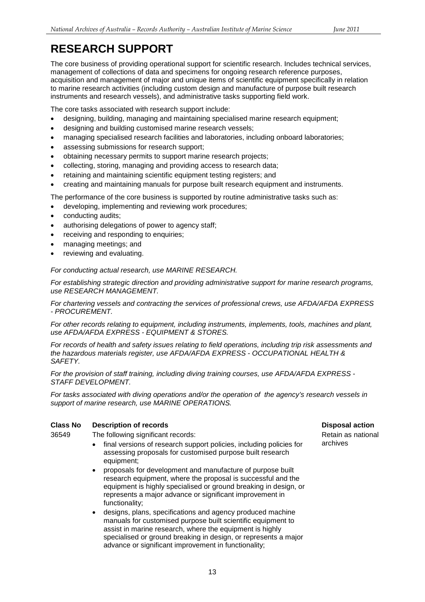### **RESEARCH SUPPORT**

 acquisition and management of major and unique items of scientific equipment specifically in relation instruments and research vessels), and administrative tasks supporting field work. The core business of providing operational support for scientific research. Includes technical services, management of collections of data and specimens for ongoing research reference purposes, to marine research activities (including custom design and manufacture of purpose built research

The core tasks associated with research support include:

- designing, building, managing and maintaining specialised marine research equipment;
- designing and building customised marine research vessels;
- managing specialised research facilities and laboratories, including onboard laboratories;
- assessing submissions for research support;
- obtaining necessary permits to support marine research projects;
- collecting, storing, managing and providing access to research data;
- retaining and maintaining scientific equipment testing registers; and
- creating and maintaining manuals for purpose built research equipment and instruments.

The performance of the core business is supported by routine administrative tasks such as:

- developing, implementing and reviewing work procedures;
- conducting audits;
- authorising delegations of power to agency staff;
- receiving and responding to enquiries:
- managing meetings; and
- reviewing and evaluating.

*For conducting actual research, use MARINE RESEARCH.* 

*For establishing strategic direction and providing administrative support for marine research programs, use RESEARCH MANAGEMENT.* 

*For chartering vessels and contracting the services of professional crews, use AFDA/AFDA EXPRESS - PROCUREMENT.* 

 *use AFDA/AFDA EXPRESS - EQUIPMENT & STORES. For other records relating to equipment, including instruments, implements, tools, machines and plant,* 

 *the hazardous materials register, use AFDA/AFDA EXPRESS - OCCUPATIONAL HEALTH & For records of health and safety issues relating to field operations, including trip risk assessments and SAFETY.* 

 *For the provision of staff training, including diving training courses, use AFDA/AFDA EXPRESS STAFF DEVELOPMENT.* 

 *For tasks associated with diving operations and/or the operation of the agency's research vessels in support of marine research, use MARINE OPERATIONS.* 

### **Class No Description of records Disposal action**

- equipment; 36549 The following significant records:<br>
• final versions of research support policies including policies for archives final versions of research support policies, including policies for assessing proposals for customised purpose built research
	- proposals for development and manufacture of purpose built research equipment, where the proposal is successful and the equipment is highly specialised or ground breaking in design, or represents a major advance or significant improvement in functionality;
	- • designs, plans, specifications and agency produced machine manuals for customised purpose built scientific equipment to assist in marine research, where the equipment is highly specialised or ground breaking in design, or represents a major advance or significant improvement in functionality;